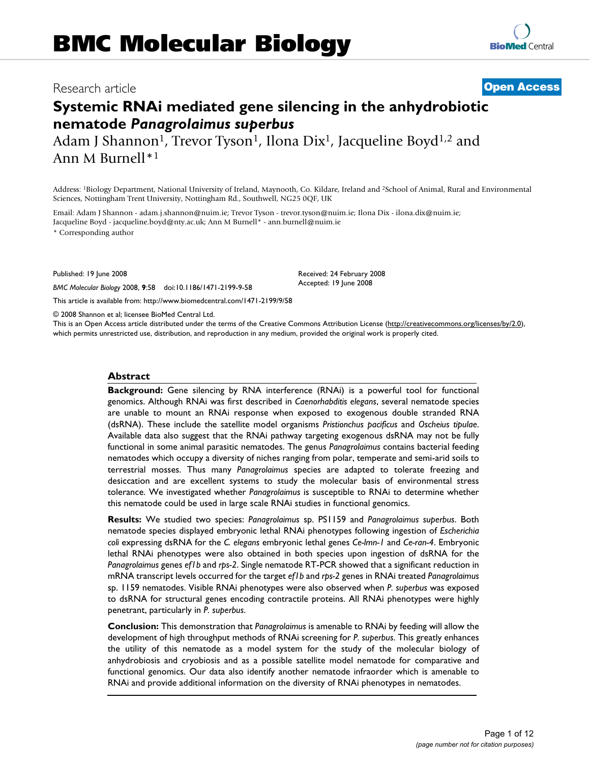## Research article **[Open Access](http://www.biomedcentral.com/info/about/charter/)**

# **Systemic RNAi mediated gene silencing in the anhydrobiotic nematode** *Panagrolaimus superbus*

Adam J Shannon<sup>1</sup>, Trevor Tyson<sup>1</sup>, Ilona Dix<sup>1</sup>, Jacqueline Boyd<sup>1,2</sup> and Ann M Burnell\*1

Address: 1Biology Department, National University of Ireland, Maynooth, Co. Kildare, Ireland and 2School of Animal, Rural and Environmental Sciences, Nottingham Trent University, Nottingham Rd., Southwell, NG25 0QF, UK

Email: Adam J Shannon - adam.j.shannon@nuim.ie; Trevor Tyson - trevor.tyson@nuim.ie; Ilona Dix - ilona.dix@nuim.ie; Jacqueline Boyd - jacqueline.boyd@nty.ac.uk; Ann M Burnell\* - ann.burnell@nuim.ie

\* Corresponding author

Published: 19 June 2008

*BMC Molecular Biology* 2008, **9**:58 doi:10.1186/1471-2199-9-58

[This article is available from: http://www.biomedcentral.com/1471-2199/9/58](http://www.biomedcentral.com/1471-2199/9/58)

© 2008 Shannon et al; licensee BioMed Central Ltd.

This is an Open Access article distributed under the terms of the Creative Commons Attribution License [\(http://creativecommons.org/licenses/by/2.0\)](http://creativecommons.org/licenses/by/2.0), which permits unrestricted use, distribution, and reproduction in any medium, provided the original work is properly cited.

Received: 24 February 2008 Accepted: 19 June 2008

#### **Abstract**

**Background:** Gene silencing by RNA interference (RNAi) is a powerful tool for functional genomics. Although RNAi was first described in *Caenorhabditis elegans*, several nematode species are unable to mount an RNAi response when exposed to exogenous double stranded RNA (dsRNA). These include the satellite model organisms *Pristionchus pacificus* and *Oscheius tipulae*. Available data also suggest that the RNAi pathway targeting exogenous dsRNA may not be fully functional in some animal parasitic nematodes. The genus *Panagrolaimus* contains bacterial feeding nematodes which occupy a diversity of niches ranging from polar, temperate and semi-arid soils to terrestrial mosses. Thus many *Panagrolaimus* species are adapted to tolerate freezing and desiccation and are excellent systems to study the molecular basis of environmental stress tolerance. We investigated whether *Panagrolaimus* is susceptible to RNAi to determine whether this nematode could be used in large scale RNAi studies in functional genomics.

**Results:** We studied two species: *Panagrolaimus* sp. PS1159 and *Panagrolaimus superbus*. Both nematode species displayed embryonic lethal RNAi phenotypes following ingestion of *Escherichia coli* expressing dsRNA for the *C. elegans* embryonic lethal genes *Ce-lmn-1* and *Ce-ran-4*. Embryonic lethal RNAi phenotypes were also obtained in both species upon ingestion of dsRNA for the *Panagrolaimus* genes *ef1b* and *rps-2*. Single nematode RT-PCR showed that a significant reduction in mRNA transcript levels occurred for the target *ef1b* and *rps-2* genes in RNAi treated *Panagrolaimus* sp. 1159 nematodes. Visible RNAi phenotypes were also observed when *P. superbus* was exposed to dsRNA for structural genes encoding contractile proteins. All RNAi phenotypes were highly penetrant, particularly in *P. superbus*.

**Conclusion:** This demonstration that *Panagrolaimus* is amenable to RNAi by feeding will allow the development of high throughput methods of RNAi screening for *P. superbus*. This greatly enhances the utility of this nematode as a model system for the study of the molecular biology of anhydrobiosis and cryobiosis and as a possible satellite model nematode for comparative and functional genomics. Our data also identify another nematode infraorder which is amenable to RNAi and provide additional information on the diversity of RNAi phenotypes in nematodes.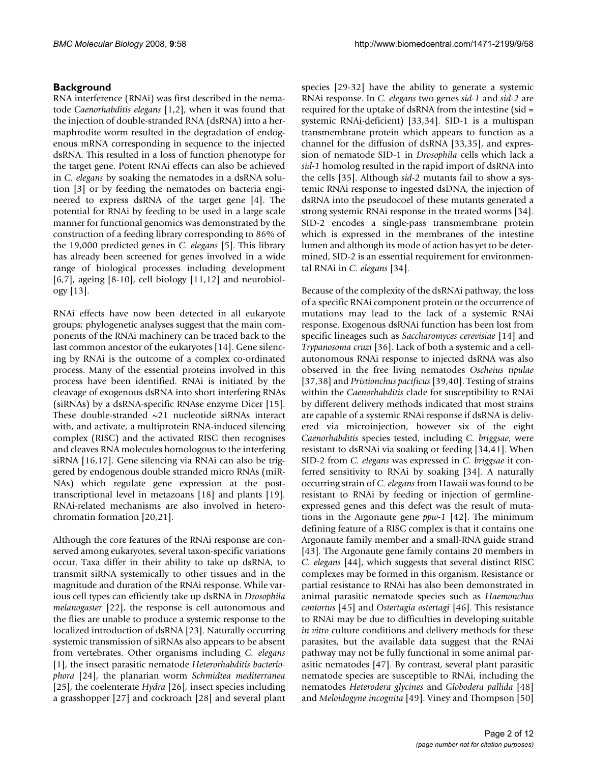## **Background**

RNA interference (RNAi) was first described in the nematode *Caenorhabditis elegans* [1,2], when it was found that the injection of double-stranded RNA (dsRNA) into a hermaphrodite worm resulted in the degradation of endogenous mRNA corresponding in sequence to the injected dsRNA. This resulted in a loss of function phenotype for the target gene. Potent RNAi effects can also be achieved in *C. elegans* by soaking the nematodes in a dsRNA solution [[3](#page-9-0)] or by feeding the nematodes on bacteria engineered to express dsRNA of the target gene [4]. The potential for RNAi by feeding to be used in a large scale manner for functional genomics was demonstrated by the construction of a feeding library corresponding to 86% of the 19,000 predicted genes in *C. elegans* [5]. This library has already been screened for genes involved in a wide range of biological processes including development [6,7], ageing  $[8-10]$ , cell biology  $[11,12]$  $[11,12]$  and neurobiology [13].

RNAi effects have now been detected in all eukaryote groups; phylogenetic analyses suggest that the main components of the RNAi machinery can be traced back to the last common ancestor of the eukaryotes [14]. Gene silencing by RNAi is the outcome of a complex co-ordinated process. Many of the essential proteins involved in this process have been identified. RNAi is initiated by the cleavage of exogenous dsRNA into short interfering RNAs (siRNAs) by a dsRNA-specific RNAse enzyme Dicer [15]. These double-stranded  $\sim$ 21 nucleotide siRNAs interact with, and activate, a multiprotein RNA-induced silencing complex (RISC) and the activated RISC then recognises and cleaves RNA molecules homologous to the interfering siRNA [\[16,](#page-10-1)17]. Gene silencing via RNAi can also be triggered by endogenous double stranded micro RNAs (miR-NAs) which regulate gene expression at the posttranscriptional level in metazoans [18] and plants [19]. RNAi-related mechanisms are also involved in heterochromatin formation [20,21].

Although the core features of the RNAi response are conserved among eukaryotes, several taxon-specific variations occur. Taxa differ in their ability to take up dsRNA, to transmit siRNA systemically to other tissues and in the magnitude and duration of the RNAi response. While various cell types can efficiently take up dsRNA in *Drosophila melanogaster* [22], the response is cell autonomous and the flies are unable to produce a systemic response to the localized introduction of dsRNA [23]. Naturally occurring systemic transmission of siRNAs also appears to be absent from vertebrates. Other organisms including *C. elegans* [1], the insect parasitic nematode *Heterorhabditis bacteriophora* [24], the planarian worm *Schmidtea mediterranea* [25], the coelenterate *Hydra* [26], insect species including a grasshopper [27] and cockroach [[28\]](#page-10-2) and several plant

species [29-32] have the ability to generate a systemic RNAi response. In *C. elegans* two genes *sid-1* and *sid-2* are required for the uptake of dsRNA from the intestine (sid = systemic RNAi-deficient) [\[33,](#page-10-3)34]. SID-1 is a multispan transmembrane protein which appears to function as a channel for the diffusion of dsRNA [[33,](#page-10-3)35], and expression of nematode SID-1 in *Drosophila* cells which lack a *sid-1* homolog resulted in the rapid import of dsRNA into the cells [35]. Although *sid-2* mutants fail to show a systemic RNAi response to ingested dsDNA, the injection of dsRNA into the pseudocoel of these mutants generated a strong systemic RNAi response in the treated worms [34]. SID-2 encodes a single-pass transmembrane protein which is expressed in the membranes of the intestine lumen and although its mode of action has yet to be determined, SID-2 is an essential requirement for environmental RNAi in *C. elegans* [34].

Because of the complexity of the dsRNAi pathway, the loss of a specific RNAi component protein or the occurrence of mutations may lead to the lack of a systemic RNAi response. Exogenous dsRNAi function has been lost from specific lineages such as *Saccharomyces cerevisiae* [14] and *Trypanosoma cruzi* [36]. Lack of both a systemic and a cellautonomous RNAi response to injected dsRNA was also observed in the free living nematodes *Oscheius tipulae* [37,38] and *Pristionchus pacificus* [39,40]. Testing of strains within the *Caenorhabditis* clade for susceptibility to RNAi by different delivery methods indicated that most strains are capable of a systemic RNAi response if dsRNA is delivered via microinjection, however six of the eight *Caenorhabditis* species tested, including *C. briggsae*, were resistant to dsRNAi via soaking or feeding [34,41]. When SID-2 from *C. elegans* was expressed in *C. briggsae* it conferred sensitivity to RNAi by soaking [34]. A naturally occurring strain of *C. elegans* from Hawaii was found to be resistant to RNAi by feeding or injection of germlineexpressed genes and this defect was the result of mutations in the Argonaute gene *ppw-1* [42]. The minimum defining feature of a RISC complex is that it contains one Argonaute family member and a small-RNA guide strand [43]. The Argonaute gene family contains 20 members in *C. elegans* [44], which suggests that several distinct RISC complexes may be formed in this organism. Resistance or partial resistance to RNAi has also been demonstrated in animal parasitic nematode species such as *Haemonchus contortus* [45] and *Ostertagia ostertagi* [46]. This resistance to RNAi may be due to difficulties in developing suitable *in vitro* culture conditions and delivery methods for these parasites, but the available data suggest that the RNAi pathway may not be fully functional in some animal parasitic nematodes [47]. By contrast, several plant parasitic nematode species are susceptible to RNAi, including the nematodes *Heterodera glycines* and *Globodera pallida* [48] and *Meloidogyne incognita* [49]. Viney and Thompson [50]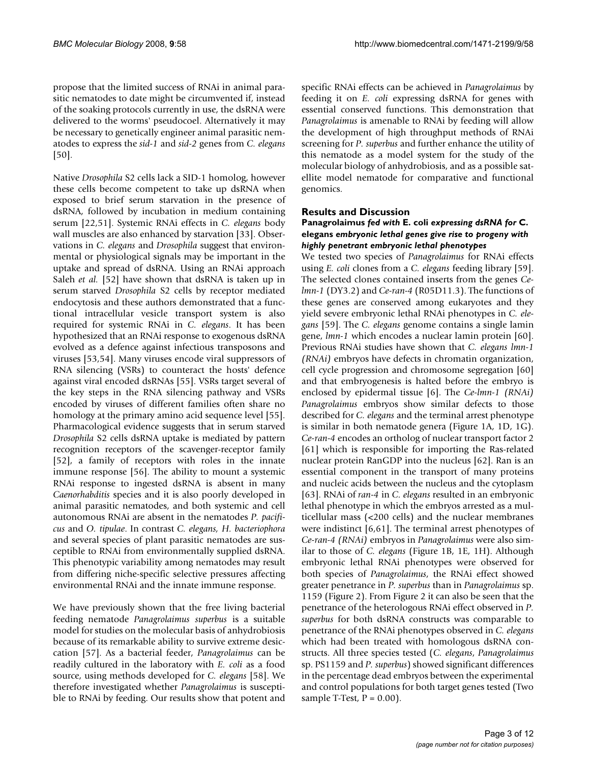propose that the limited success of RNAi in animal parasitic nematodes to date might be circumvented if, instead of the soaking protocols currently in use, the dsRNA were delivered to the worms' pseudocoel. Alternatively it may be necessary to genetically engineer animal parasitic nematodes to express the *sid-1* and *sid-2* genes from *C. elegans* [50].

Native *Drosophila* S2 cells lack a SID-1 homolog, however these cells become competent to take up dsRNA when exposed to brief serum starvation in the presence of dsRNA, followed by incubation in medium containing serum [22[,51](#page-10-4)]. Systemic RNAi effects in *C. elegans* body wall muscles are also enhanced by starvation [[33](#page-10-3)]. Observations in *C. elegans* and *Drosophila* suggest that environmental or physiological signals may be important in the uptake and spread of dsRNA. Using an RNAi approach Saleh *et al.* [52] have shown that dsRNA is taken up in serum starved *Drosophila* S2 cells by receptor mediated endocytosis and these authors demonstrated that a functional intracellular vesicle transport system is also required for systemic RNAi in *C. elegans*. It has been hypothesized that an RNAi response to exogenous dsRNA evolved as a defence against infectious transposons and viruses [53,54]. Many viruses encode viral suppressors of RNA silencing (VSRs) to counteract the hosts' defence against viral encoded dsRNAs [55]. VSRs target several of the key steps in the RNA silencing pathway and VSRs encoded by viruses of different families often share no homology at the primary amino acid sequence level [55]. Pharmacological evidence suggests that in serum starved *Drosophila* S2 cells dsRNA uptake is mediated by pattern recognition receptors of the scavenger-receptor family [52], a family of receptors with roles in the innate immune response [56]. The ability to mount a systemic RNAi response to ingested dsRNA is absent in many *Caenorhabditis* species and it is also poorly developed in animal parasitic nematodes, and both systemic and cell autonomous RNAi are absent in the nematodes *P. pacificus* and *O. tipulae*. In contrast *C. elegans, H. bacteriophora* and several species of plant parasitic nematodes are susceptible to RNAi from environmentally supplied dsRNA. This phenotypic variability among nematodes may result from differing niche-specific selective pressures affecting environmental RNAi and the innate immune response.

We have previously shown that the free living bacterial feeding nematode *Panagrolaimus superbus* is a suitable model for studies on the molecular basis of anhydrobiosis because of its remarkable ability to survive extreme desiccation [[57\]](#page-10-5). As a bacterial feeder, *Panagrolaimus* can be readily cultured in the laboratory with *E. coli* as a food source, using methods developed for *C. elegans* [58]. We therefore investigated whether *Panagrolaimus* is susceptible to RNAi by feeding. Our results show that potent and

specific RNAi effects can be achieved in *Panagrolaimus* by feeding it on *E. coli* expressing dsRNA for genes with essential conserved functions. This demonstration that *Panagrolaimus* is amenable to RNAi by feeding will allow the development of high throughput methods of RNAi screening for *P. superbus* and further enhance the utility of this nematode as a model system for the study of the molecular biology of anhydrobiosis, and as a possible satellite model nematode for comparative and functional genomics.

## **Results and Discussion**

#### **Panagrolaimus** *fed with* **E. coli** *expressing dsRNA for* **C. elegans** *embryonic lethal genes give rise to progeny with highly penetrant embryonic lethal phenotypes*

We tested two species of *Panagrolaimus* for RNAi effects using *E. coli* clones from a *C. elegans* feeding library [\[59](#page-10-6)]. The selected clones contained inserts from the genes *Celmn-1* (DY3.2) and *Ce-ran-4* (R05D11.3). The functions of these genes are conserved among eukaryotes and they yield severe embryonic lethal RNAi phenotypes in *C. elegans* [\[59](#page-10-6)]. The *C. elegans* genome contains a single lamin gene, *lmn-1* which encodes a nuclear lamin protein [60]. Previous RNAi studies have shown that *C. elegans lmn-1 (RNAi)* embryos have defects in chromatin organization, cell cycle progression and chromosome segregation [60] and that embryogenesis is halted before the embryo is enclosed by epidermal tissue [6]. The *Ce-lmn-1 (RNAi) Panagrolaimus* embryos show similar defects to those described for *C. elegans* and the terminal arrest phenotype is similar in both nematode genera (Figure 1A, 1D, 1G). *Ce-ran-4* encodes an ortholog of nuclear transport factor 2 [61] which is responsible for importing the Ras-related nuclear protein RanGDP into the nucleus [62]. Ran is an essential component in the transport of many proteins and nucleic acids between the nucleus and the cytoplasm [63]. RNAi of *ran-4* in *C. elegans* resulted in an embryonic lethal phenotype in which the embryos arrested as a multicellular mass (<200 cells) and the nuclear membranes were indistinct [6,61]. The terminal arrest phenotypes of *Ce-ran-4 (RNAi)* embryos in *Panagrolaimus* were also similar to those of *C. elegans* (Figure 1B, 1E, 1H). Although embryonic lethal RNAi phenotypes were observed for both species of *Panagrolaimus*, the RNAi effect showed greater penetrance in *P. superbus* than in *Panagrolaimus* sp. 1159 (Figure 2). From Figure 2 it can also be seen that the penetrance of the heterologous RNAi effect observed in *P. superbus* for both dsRNA constructs was comparable to penetrance of the RNAi phenotypes observed in *C. elegans* which had been treated with homologous dsRNA constructs. All three species tested (*C. elegans*, *Panagrolaimus* sp. PS1159 and *P. superbus*) showed significant differences in the percentage dead embryos between the experimental and control populations for both target genes tested (Two sample T-Test,  $P = 0.00$ ).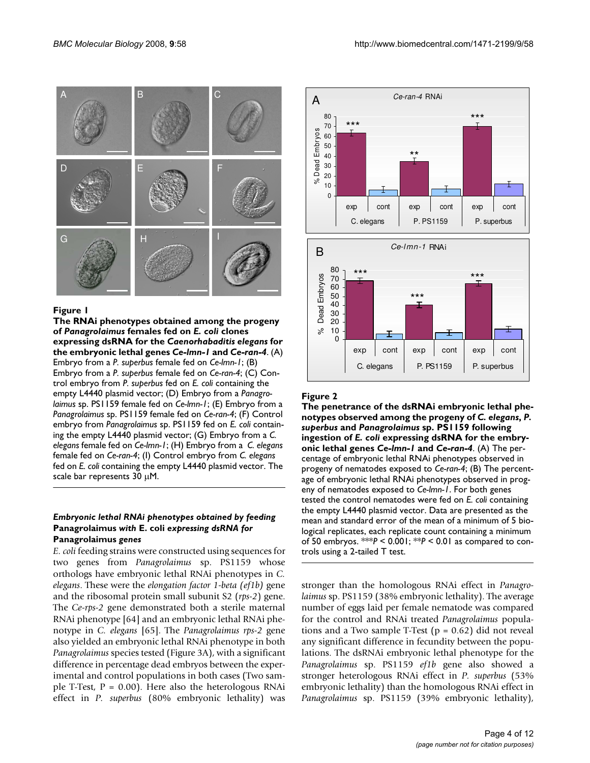

#### **Figure I**

**The RNAi phenotypes obtained among the progeny of** *Panagrolaimus* **females fed on** *E. coli* **clones expressing dsRNA for the** *Caenorhabaditis elegans* **for the embryonic lethal genes** *Ce-lmn-1* **and** *Ce-ran-4*. (A) Embryo from a *P. superbus* female fed on *Ce-lmn-1*; (B) Embryo from a *P. superbus* female fed on *Ce-ran-4*; (C) Control embryo from *P. superbus* fed on *E. coli* containing the empty L4440 plasmid vector; (D) Embryo from a *Panagrolaimus* sp. PS1159 female fed on *Ce-lmn-1*; (E) Embryo from a *Panagrolaimus* sp. PS1159 female fed on *Ce-ran-4*; (F) Control embryo from *Panagrolaimus* sp. PS1159 fed on *E. coli* containing the empty L4440 plasmid vector; (G) Embryo from a *C. elegans* female fed on *Ce-lmn-1*; (H) Embryo from a *C. elegans*  female fed on *Ce-ran-4*; (I) Control embryo from *C. elegans*  fed on *E. coli* containing the empty L4440 plasmid vector. The scale bar represents 30 μM.

#### *Embryonic lethal RNAi phenotypes obtained by feeding*  **Panagrolaimus** *with* **E. coli** *expressing dsRNA for*  **Panagrolaimus** *genes*

*E. coli* feeding strains were constructed using sequences for two genes from *Panagrolaimus* sp. PS1159 whose orthologs have embryonic lethal RNAi phenotypes in *C. elegans*. These were the *elongation factor 1-beta (ef1b)* gene and the ribosomal protein small subunit S2 (*rps-2*) gene. The *Ce-rps-2* gene demonstrated both a sterile maternal RNAi phenotype [[64\]](#page-11-0) and an embryonic lethal RNAi phenotype in *C. elegans* [\[65](#page-11-1)]. The *Panagrolaimus rps-2* gene also yielded an embryonic lethal RNAi phenotype in both *Panagrolaimus* species tested (Figure 3A), with a significant difference in percentage dead embryos between the experimental and control populations in both cases (Two sample T-Test,  $P = 0.00$ ). Here also the heterologous RNAi effect in *P. superbus* (80% embryonic lethality) was



#### Figure 2

**The penetrance of the dsRNAi embryonic lethal phenotypes observed among the progeny of** *C. elegans***,** *P. superbus* **and** *Panagrolaimus* **sp. PS1159 following ingestion of** *E. coli* **expressing dsRNA for the embryonic lethal genes** *Ce-lmn-1* **and** *Ce-ran-4*. (A) The percentage of embryonic lethal RNAi phenotypes observed in progeny of nematodes exposed to *Ce-ran-4*; (B) The percentage of embryonic lethal RNAi phenotypes observed in progeny of nematodes exposed to *Ce-lmn-1*. For both genes tested the control nematodes were fed on *E. coli* containing the empty L4440 plasmid vector. Data are presented as the mean and standard error of the mean of a minimum of 5 biological replicates, each replicate count containing a minimum of 50 embryos. \*\*\**P* < 0.001; \*\**P* < 0.01 as compared to controls using a 2-tailed T test.

stronger than the homologous RNAi effect in *Panagrolaimus* sp. PS1159 (38% embryonic lethality). The average number of eggs laid per female nematode was compared for the control and RNAi treated *Panagrolaimus* populations and a Two sample T-Test  $(p = 0.62)$  did not reveal any significant difference in fecundity between the populations. The dsRNAi embryonic lethal phenotype for the *Panagrolaimus* sp. PS1159 *ef1b* gene also showed a stronger heterologous RNAi effect in *P. superbus* (53% embryonic lethality) than the homologous RNAi effect in *Panagrolaimus* sp. PS1159 (39% embryonic lethality),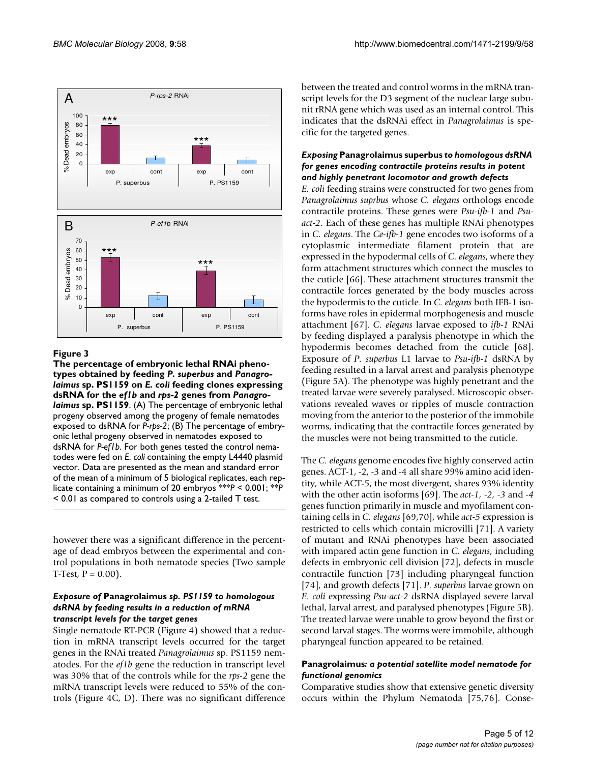

#### Figure 3

**The percentage of embryonic lethal RNAi phenotypes obtained by feeding** *P. superbus* **and** *Panagrolaimus* **sp. PS1159 on** *E. coli* **feeding clones expressing dsRNA for the** *ef1b* **and** *rps-2* **genes from** *Panagrolaimus* **sp. PS1159**. (A) The percentage of embryonic lethal progeny observed among the progeny of female nematodes exposed to dsRNA for *P-rps-2*; (B) The percentage of embryonic lethal progeny observed in nematodes exposed to dsRNA for *P-ef1b*. For both genes tested the control nematodes were fed on *E. coli* containing the empty L4440 plasmid vector. Data are presented as the mean and standard error of the mean of a minimum of 5 biological replicates, each replicate containing a minimum of 20 embryos \*\*\**P* < 0.001; \*\**P*  < 0.01 as compared to controls using a 2-tailed T test.

however there was a significant difference in the percentage of dead embryos between the experimental and control populations in both nematode species (Two sample T-Test,  $P = 0.00$ ).

#### *Exposure of* **Panagrolaimus** *sp. PS1159 to homologous dsRNA by feeding results in a reduction of mRNA transcript levels for the target genes*

Single nematode RT-PCR (Figure 4) showed that a reduction in mRNA transcript levels occurred for the target genes in the RNAi treated *Panagrolaimus* sp. PS1159 nematodes. For the *ef1b* gene the reduction in transcript level was 30% that of the controls while for the *rps-2* gene the mRNA transcript levels were reduced to 55% of the controls (Figure 4C, D). There was no significant difference between the treated and control worms in the mRNA transcript levels for the D3 segment of the nuclear large subunit rRNA gene which was used as an internal control. This indicates that the dsRNAi effect in *Panagrolaimus* is specific for the targeted genes.

#### *Exposing* **Panagrolaimus superbus** *to homologous dsRNA for genes encoding contractile proteins results in potent and highly penetrant locomotor and growth defects*

*E. coli* feeding strains were constructed for two genes from *Panagrolaimus suprbus* whose *C. elegans* orthologs encode contractile proteins. These genes were *Psu-ifb-1* and *Psuact-2*. Each of these genes has multiple RNAi phenotypes in *C. elegans*. The *Ce-ifb-1* gene encodes two isoforms of a cytoplasmic intermediate filament protein that are expressed in the hypodermal cells of *C. elegans*, where they form attachment structures which connect the muscles to the cuticle [66]. These attachment structures transmit the contractile forces generated by the body muscles across the hypodermis to the cuticle. In *C. elegans* both IFB-1 isoforms have roles in epidermal morphogenesis and muscle attachment [\[67](#page-11-2)]. *C. elegans* larvae exposed to *ifb-1* RNAi by feeding displayed a paralysis phenotype in which the hypodermis becomes detached from the cuticle [\[68](#page-11-3)]. Exposure of *P. superbus* L1 larvae to *Psu-ifb-1* dsRNA by feeding resulted in a larval arrest and paralysis phenotype (Figure 5A). The phenotype was highly penetrant and the treated larvae were severely paralysed. Microscopic observations revealed waves or ripples of muscle contraction moving from the anterior to the posterior of the immobile worms, indicating that the contractile forces generated by the muscles were not being transmitted to the cuticle.

The *C. elegans* genome encodes five highly conserved actin genes. ACT-1, -2, -3 and -4 all share 99% amino acid identity, while ACT-5, the most divergent, shares 93% identity with the other actin isoforms [[69](#page-11-4)]. The *act-1, -2, -3* and *-4* genes function primarily in muscle and myofilament containing cells in *C. elegans* [\[69](#page-11-4),[70](#page-11-5)], while *act-5* expression is restricted to cells which contain microvilli [71]. A variety of mutant and RNAi phenotypes have been associated with impared actin gene function in *C. elegans*, including defects in embryonic cell division [72], defects in muscle contractile function [[73\]](#page-11-6) including pharyngeal function [74], and growth defects [71]. *P. superbus* larvae grown on *E. coli* expressing *Psu-act-2* dsRNA displayed severe larval lethal, larval arrest, and paralysed phenotypes (Figure 5B). The treated larvae were unable to grow beyond the first or second larval stages. The worms were immobile, although pharyngeal function appeared to be retained.

#### **Panagrolaimus***: a potential satellite model nematode for functional genomics*

Comparative studies show that extensive genetic diversity occurs within the Phylum Nematoda [75[,76](#page-11-7)]. Conse-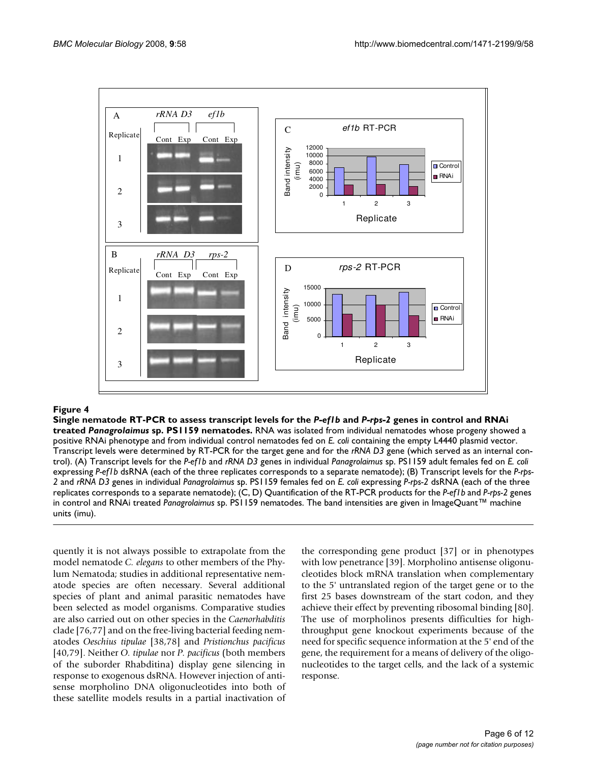

## Single nematode RT-PCR to asse sp. PS1159 nematodes **Figure 4** ss transcript levels for the *P-ef1b* and *P-rps-2* genes in control and RNAi treated *Panagrolaimus*

**Single nematode RT-PCR to assess transcript levels for the** *P-ef1b* **and** *P-rps-2* **genes in control and RNAi treated** *Panagrolaimus* **sp. PS1159 nematodes.** RNA was isolated from individual nematodes whose progeny showed a positive RNAi phenotype and from individual control nematodes fed on *E. coli* containing the empty L4440 plasmid vector. Transcript levels were determined by RT-PCR for the target gene and for the *rRNA D3* gene (which served as an internal control). (A) Transcript levels for the *P-ef1b* and *rRNA D3* genes in individual *Panagrolaimus* sp. PS1159 adult females fed on *E. coli*  expressing *P-ef1b* dsRNA (each of the three replicates corresponds to a separate nematode); (B) Transcript levels for the *P-rps-2* and *rRNA D3* genes in individual *Panagrolaimus* sp. PS1159 females fed on *E. coli* expressing *P-rps-2* dsRNA (each of the three replicates corresponds to a separate nematode); (C, D) Quantification of the RT-PCR products for the *P-ef1b* and *P-rps-2* genes in control and RNAi treated *Panagrolaimus* sp. PS1159 nematodes. The band intensities are given in ImageQuant™ machine units (imu).

quently it is not always possible to extrapolate from the model nematode *C. elegans* to other members of the Phylum Nematoda; studies in additional representative nematode species are often necessary. Several additional species of plant and animal parasitic nematodes have been selected as model organisms. Comparative studies are also carried out on other species in the *Caenorhabditis* clade [\[76](#page-11-7),77] and on the free-living bacterial feeding nematodes *Oeschius tipulae* [38,78] and *Pristionchus pacificus* [40,[79\]](#page-11-8). Neither *O. tipulae* nor *P. pacificus* (both members of the suborder Rhabditina) display gene silencing in response to exogenous dsRNA. However injection of antisense morpholino DNA oligonucleotides into both of these satellite models results in a partial inactivation of the corresponding gene product [37] or in phenotypes with low penetrance [39]. Morpholino antisense oligonucleotides block mRNA translation when complementary to the 5' untranslated region of the target gene or to the first 25 bases downstream of the start codon, and they achieve their effect by preventing ribosomal binding [\[80](#page-11-9)]. The use of morpholinos presents difficulties for highthroughput gene knockout experiments because of the need for specific sequence information at the 5' end of the gene, the requirement for a means of delivery of the oligonucleotides to the target cells, and the lack of a systemic response.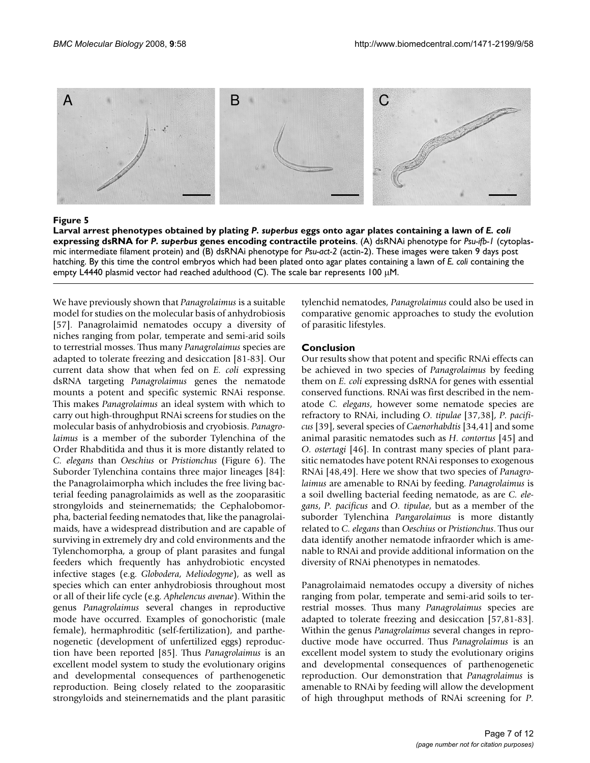

#### *P. superbus* **Figure 5** Larval arrest phenotypes obtained by plating genes encoding contractile proteins*P. superbus* eggs onto agar plates containing a lawn of *E. coli* expressing dsRNA for

**Larval arrest phenotypes obtained by plating** *P. superbus* **eggs onto agar plates containing a lawn of** *E. coli*  **expressing dsRNA for** *P. superbus* **genes encoding contractile proteins**. (A) dsRNAi phenotype for *Psu-ifb-1* (cytoplasmic intermediate filament protein) and (B) dsRNAi phenotype for *Psu-act-2* (actin-2). These images were taken 9 days post hatching. By this time the control embryos which had been plated onto agar plates containing a lawn of *E. coli* containing the empty L4440 plasmid vector had reached adulthood (C). The scale bar represents 100  $\mu$ M.

We have previously shown that *Panagrolaimus* is a suitable model for studies on the molecular basis of anhydrobiosis [[57](#page-10-5)]. Panagrolaimid nematodes occupy a diversity of niches ranging from polar, temperate and semi-arid soils to terrestrial mosses. Thus many *Panagrolaimus* species are adapted to tolerate freezing and desiccation [81-83]. Our current data show that when fed on *E. coli* expressing dsRNA targeting *Panagrolaimus* genes the nematode mounts a potent and specific systemic RNAi response. This makes *Panagrolaimus* an ideal system with which to carry out high-throughput RNAi screens for studies on the molecular basis of anhydrobiosis and cryobiosis. *Panagrolaimus* is a member of the suborder Tylenchina of the Order Rhabditida and thus it is more distantly related to *C. elegans* than *Oeschius* or *Pristionchus* (Figure 6). The Suborder Tylenchina contains three major lineages [84]: the Panagrolaimorpha which includes the free living bacterial feeding panagrolaimids as well as the zooparasitic strongyloids and steinernematids; the Cephalobomorpha, bacterial feeding nematodes that, like the panagrolaimaids, have a widespread distribution and are capable of surviving in extremely dry and cold environments and the Tylenchomorpha, a group of plant parasites and fungal feeders which frequently has anhydrobiotic encysted infective stages (e.g. *Globodera*, *Meliodogyne*), as well as species which can enter anhydrobiosis throughout most or all of their life cycle (e.g. *Aphelencus avenae*). Within the genus *Panagrolaimus* several changes in reproductive mode have occurred. Examples of gonochoristic (male female), hermaphroditic (self-fertilization), and parthenogenetic (development of unfertilized eggs) reproduction have been reported [85]. Thus *Panagrolaimus* is an excellent model system to study the evolutionary origins and developmental consequences of parthenogenetic reproduction. Being closely related to the zooparasitic strongyloids and steinernematids and the plant parasitic tylenchid nematodes, *Panagrolaimus* could also be used in comparative genomic approaches to study the evolution of parasitic lifestyles.

#### **Conclusion**

Our results show that potent and specific RNAi effects can be achieved in two species of *Panagrolaimus* by feeding them on *E. coli* expressing dsRNA for genes with essential conserved functions. RNAi was first described in the nematode *C. elegans*, however some nematode species are refractory to RNAi, including *O. tipulae* [37,38], *P. pacificus* [39], several species of *Caenorhabdtis* [34,41] and some animal parasitic nematodes such as *H. contortus* [45] and *O. ostertagi* [46]. In contrast many species of plant parasitic nematodes have potent RNAi responses to exogenous RNAi [48,49]. Here we show that two species of *Panagrolaimus* are amenable to RNAi by feeding. *Panagrolaimus* is a soil dwelling bacterial feeding nematode, as are *C. elegans*, *P. pacificus* and *O. tipulae*, but as a member of the suborder Tylenchina *Pangarolaimus* is more distantly related to *C. elegans* than *Oeschius* or *Pristionchus*. Thus our data identify another nematode infraorder which is amenable to RNAi and provide additional information on the diversity of RNAi phenotypes in nematodes.

Panagrolaimaid nematodes occupy a diversity of niches ranging from polar, temperate and semi-arid soils to terrestrial mosses. Thus many *Panagrolaimus* species are adapted to tolerate freezing and desiccation [[57,](#page-10-5)81-83]. Within the genus *Panagrolaimus* several changes in reproductive mode have occurred. Thus *Panagrolaimus* is an excellent model system to study the evolutionary origins and developmental consequences of parthenogenetic reproduction. Our demonstration that *Panagrolaimus* is amenable to RNAi by feeding will allow the development of high throughput methods of RNAi screening for *P.*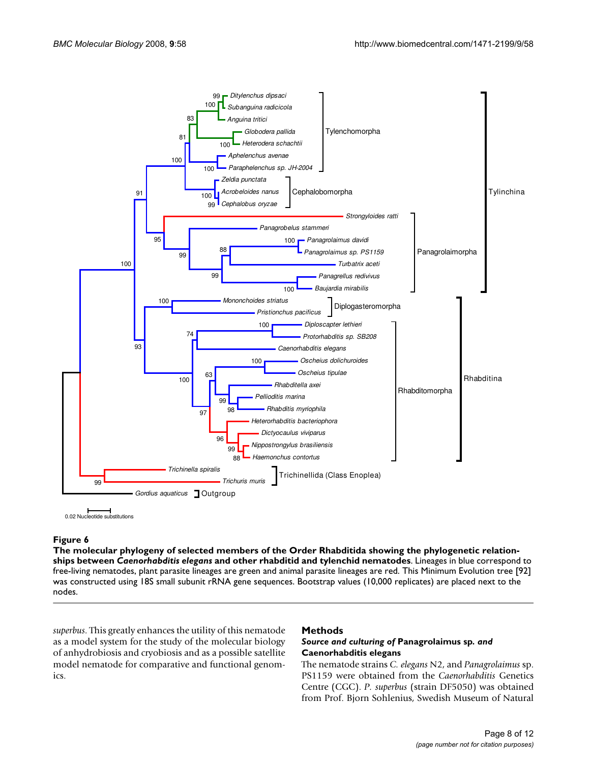



#### The molecular phylogeny of selected members of the Order *Caenorhabditis elegans* **Figure 6** and other rhabditid and tylenchid nematodes Rhabditida showing the phylogenetic relationships between

**The molecular phylogeny of selected members of the Order Rhabditida showing the phylogenetic relationships between** *Caenorhabditis elegans* **and other rhabditid and tylenchid nematodes**. Lineages in blue correspond to free-living nematodes, plant parasite lineages are green and animal parasite lineages are red. This Minimum Evolution tree [92] was constructed using 18S small subunit rRNA gene sequences. Bootstrap values (10,000 replicates) are placed next to the nodes.

*superbus*. This greatly enhances the utility of this nematode as a model system for the study of the molecular biology of anhydrobiosis and cryobiosis and as a possible satellite model nematode for comparative and functional genomics.

#### **Methods**

## *Source and culturing of* **Panagrolaimus sp***. and*  **Caenorhabditis elegans**

The nematode strains *C. elegans* N2, and *Panagrolaimus* sp. PS1159 were obtained from the *Caenorhabditis* Genetics Centre (CGC). *P. superbus* (strain DF5050) was obtained from Prof. Bjorn Sohlenius, Swedish Museum of Natural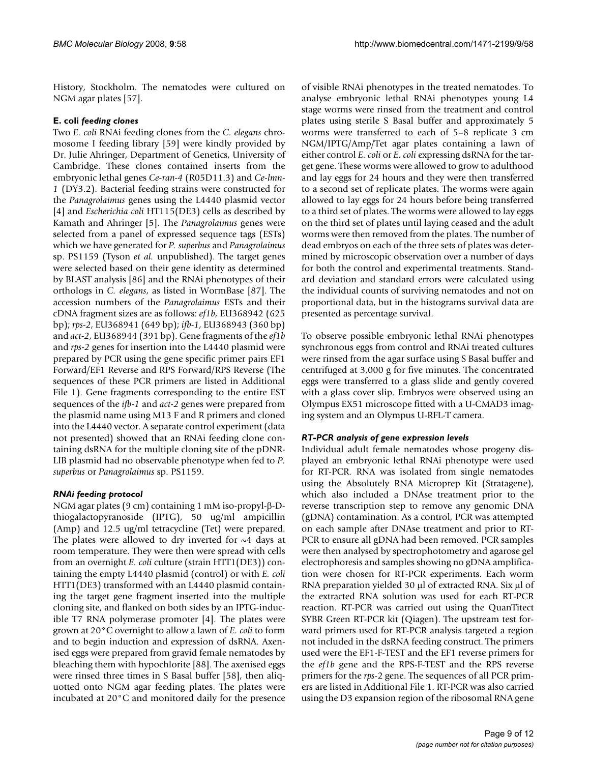History, Stockholm. The nematodes were cultured on NGM agar plates [[57](#page-10-5)].

#### **E. coli** *feeding clones*

Two *E. coli* RNAi feeding clones from the *C. elegans* chromosome I feeding library [\[59](#page-10-6)] were kindly provided by Dr. Julie Ahringer, Department of Genetics, University of Cambridge. These clones contained inserts from the embryonic lethal genes *Ce-ran-4* (R05D11.3) and *Ce-lmn-1* (DY3.2). Bacterial feeding strains were constructed for the *Panagrolaimus* genes using the L4440 plasmid vector [4] and *Escherichia coli* HT115(DE3) cells as described by Kamath and Ahringer [5]. The *Panagrolaimus* genes were selected from a panel of expressed sequence tags (ESTs) which we have generated for *P. superbus* and *Panagrolaimus* sp. PS1159 (Tyson *et al.* unpublished). The target genes were selected based on their gene identity as determined by BLAST analysis [86] and the RNAi phenotypes of their orthologs in *C. elegans*, as listed in WormBase [87]. The accession numbers of the *Panagrolaimus* ESTs and their cDNA fragment sizes are as follows: *ef1b*, EU368942 (625 bp); *rps-2*, EU368941 (649 bp); *ifb-1*, EU368943 (360 bp) and *act-2*, EU368944 (391 bp). Gene fragments of the *ef1b* and *rps-2* genes for insertion into the L4440 plasmid were prepared by PCR using the gene specific primer pairs EF1 Forward/EF1 Reverse and RPS Forward/RPS Reverse (The sequences of these PCR primers are listed in Additional File 1). Gene fragments corresponding to the entire EST sequences of the *ifb-1* and *act-2* genes were prepared from the plasmid name using M13 F and R primers and cloned into the L4440 vector. A separate control experiment (data not presented) showed that an RNAi feeding clone containing dsRNA for the multiple cloning site of the pDNR-LIB plasmid had no observable phenotype when fed to *P. superbus* or *Panagrolaimus* sp. PS1159.

#### *RNAi feeding protocol*

NGM agar plates (9 cm) containing 1 mM iso-propyl-β-Dthiogalactopyranoside (IPTG), 50 ug/ml ampicillin (Amp) and 12.5 ug/ml tetracycline (Tet) were prepared. The plates were allowed to dry inverted for  $\sim$ 4 days at room temperature. They were then were spread with cells from an overnight *E. coli* culture (strain HTT1(DE3)) containing the empty L4440 plasmid (control) or with *E. coli* HTT1(DE3) transformed with an L4440 plasmid containing the target gene fragment inserted into the multiple cloning site, and flanked on both sides by an IPTG-inducible T7 RNA polymerase promoter [4]. The plates were grown at 20°C overnight to allow a lawn of *E. coli* to form and to begin induction and expression of dsRNA. Axenised eggs were prepared from gravid female nematodes by bleaching them with hypochlorite [88]. The axenised eggs were rinsed three times in S Basal buffer [58], then aliquotted onto NGM agar feeding plates. The plates were incubated at 20°C and monitored daily for the presence

of visible RNAi phenotypes in the treated nematodes. To analyse embryonic lethal RNAi phenotypes young L4 stage worms were rinsed from the treatment and control plates using sterile S Basal buffer and approximately 5 worms were transferred to each of 5–8 replicate 3 cm NGM/IPTG/Amp/Tet agar plates containing a lawn of either control *E. coli* or *E. coli* expressing dsRNA for the target gene. These worms were allowed to grow to adulthood and lay eggs for 24 hours and they were then transferred to a second set of replicate plates. The worms were again allowed to lay eggs for 24 hours before being transferred to a third set of plates. The worms were allowed to lay eggs on the third set of plates until laying ceased and the adult worms were then removed from the plates. The number of dead embryos on each of the three sets of plates was determined by microscopic observation over a number of days for both the control and experimental treatments. Standard deviation and standard errors were calculated using the individual counts of surviving nematodes and not on proportional data, but in the histograms survival data are presented as percentage survival.

To observe possible embryonic lethal RNAi phenotypes synchronous eggs from control and RNAi treated cultures were rinsed from the agar surface using S Basal buffer and centrifuged at 3,000 g for five minutes. The concentrated eggs were transferred to a glass slide and gently covered with a glass cover slip. Embryos were observed using an Olympus EX51 microscope fitted with a U-CMAD3 imaging system and an Olympus U-RFL-T camera.

#### *RT-PCR analysis of gene expression levels*

Individual adult female nematodes whose progeny displayed an embryonic lethal RNAi phenotype were used for RT-PCR. RNA was isolated from single nematodes using the Absolutely RNA Microprep Kit (Stratagene), which also included a DNAse treatment prior to the reverse transcription step to remove any genomic DNA (gDNA) contamination. As a control, PCR was attempted on each sample after DNAse treatment and prior to RT-PCR to ensure all gDNA had been removed. PCR samples were then analysed by spectrophotometry and agarose gel electrophoresis and samples showing no gDNA amplification were chosen for RT-PCR experiments. Each worm RNA preparation yielded 30 μl of extracted RNA. Six μl of the extracted RNA solution was used for each RT-PCR reaction. RT-PCR was carried out using the QuanTitect SYBR Green RT-PCR kit (Qiagen). The upstream test forward primers used for RT-PCR analysis targeted a region not included in the dsRNA feeding construct. The primers used were the EF1-F-TEST and the EF1 reverse primers for the *ef1b* gene and the RPS-F-TEST and the RPS reverse primers for the *rps*-2 gene. The sequences of all PCR primers are listed in Additional File 1. RT-PCR was also carried using the D3 expansion region of the ribosomal RNA gene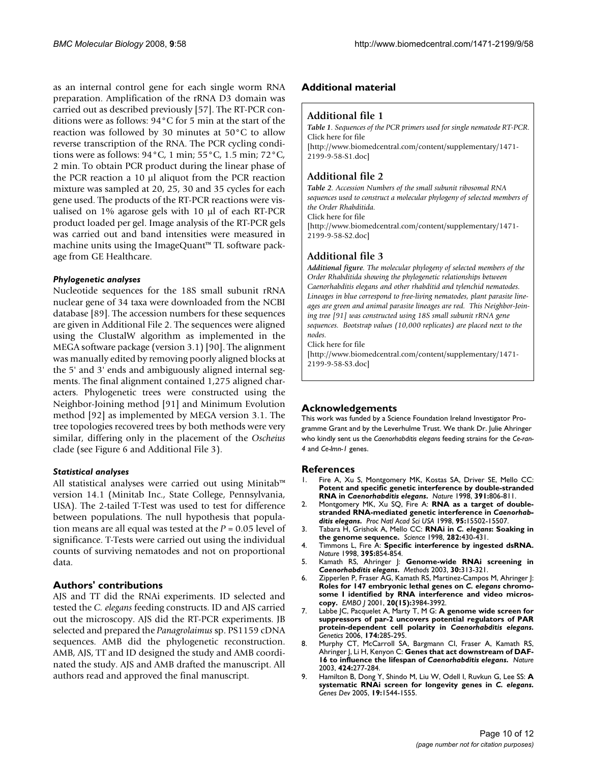as an internal control gene for each single worm RNA preparation. Amplification of the rRNA D3 domain was carried out as described previously [[57](#page-10-5)]. The RT-PCR conditions were as follows: 94°C for 5 min at the start of the reaction was followed by 30 minutes at 50°C to allow reverse transcription of the RNA. The PCR cycling conditions were as follows: 94°C, 1 min; 55°C, 1.5 min; 72°C, 2 min. To obtain PCR product during the linear phase of the PCR reaction a 10 μl aliquot from the PCR reaction mixture was sampled at 20, 25, 30 and 35 cycles for each gene used. The products of the RT-PCR reactions were visualised on 1% agarose gels with 10 μl of each RT-PCR product loaded per gel. Image analysis of the RT-PCR gels was carried out and band intensities were measured in machine units using the ImageQuant™ TL software package from GE Healthcare.

#### *Phylogenetic analyses*

Nucleotide sequences for the 18S small subunit rRNA nuclear gene of 34 taxa were downloaded from the NCBI database [89]. The accession numbers for these sequences are given in Additional File 2. The sequences were aligned using the ClustalW algorithm as implemented in the MEGA software package (version 3.1) [90]. The alignment was manually edited by removing poorly aligned blocks at the 5' and 3' ends and ambiguously aligned internal segments. The final alignment contained 1,275 aligned characters. Phylogenetic trees were constructed using the Neighbor-Joining method [91] and Minimum Evolution method [92] as implemented by MEGA version 3.1. The tree topologies recovered trees by both methods were very similar, differing only in the placement of the *Oscheius* clade (see Figure 6 and Additional File 3).

#### *Statistical analyses*

All statistical analyses were carried out using Minitab™ version 14.1 (Minitab Inc., State College, Pennsylvania, USA). The 2-tailed T-Test was used to test for difference between populations. The null hypothesis that population means are all equal was tested at the *P* = 0.05 level of significance. T-Tests were carried out using the individual counts of surviving nematodes and not on proportional data.

## **Authors' contributions**

AJS and TT did the RNAi experiments. ID selected and tested the *C. elegans* feeding constructs. ID and AJS carried out the microscopy. AJS did the RT-PCR experiments. JB selected and prepared the *Panagrolaimus* sp. PS1159 cDNA sequences. AMB did the phylogenetic reconstruction. AMB, AJS, TT and ID designed the study and AMB coordinated the study. AJS and AMB drafted the manuscript. All authors read and approved the final manuscript.

## **Additional material**

#### **Additional file 1**

*Table 1. Sequences of the PCR primers used for single nematode RT-PCR.* Click here for file [\[http://www.biomedcentral.com/content/supplementary/1471-](http://www.biomedcentral.com/content/supplementary/1471-2199-9-58-S1.doc) 2199-9-58-S1.doc]

## **Additional file 2**

*Table 2. Accession Numbers of the small subunit ribosomal RNA sequences used to construct a molecular phylogeny of selected members of the Order Rhabditida.* Click here for file

[\[http://www.biomedcentral.com/content/supplementary/1471-](http://www.biomedcentral.com/content/supplementary/1471-2199-9-58-S2.doc) 2199-9-58-S2.doc]

## **Additional file 3**

*Additional figure. The molecular phylogeny of selected members of the Order Rhabditida showing the phylogenetic relationships between Caenorhabditis elegans and other rhabditid and tylenchid nematodes. Lineages in blue correspond to free-living nematodes, plant parasite lineages are green and animal parasite lineages are red. This Neighbor-Joining tree [91] was constructed using 18S small subunit rRNA gene sequences. Bootstrap values (10,000 replicates) are placed next to the nodes.*

Click here for file

[\[http://www.biomedcentral.com/content/supplementary/1471-](http://www.biomedcentral.com/content/supplementary/1471-2199-9-58-S3.doc) 2199-9-58-S3.doc]

## **Acknowledgements**

This work was funded by a Science Foundation Ireland Investigator Programme Grant and by the Leverhulme Trust. We thank Dr. Julie Ahringer who kindly sent us the *Caenorhabditis elegans* feeding strains for the *Ce-ran-4* and *Ce-lmn-1* genes.

#### **References**

- 1. Fire A, Xu S, Montgomery MK, Kostas SA, Driver SE, Mello CC: **Potent and specific genetic interference by double-stranded RNA in** *Caenorhabditis elegans***[.](http://www.ncbi.nlm.nih.gov/entrez/query.fcgi?cmd=Retrieve&db=PubMed&dopt=Abstract&list_uids=9486653)** *Nature* 1998, **391:**806-811.
- 2. Montgomery MK, Xu SQ, Fire A: **RNA as a target of doublestranded RNA-mediated genetic interference in** *Caenorhabditis elegans***[.](http://www.ncbi.nlm.nih.gov/entrez/query.fcgi?cmd=Retrieve&db=PubMed&dopt=Abstract&list_uids=9860998)** *Proc Natl Acad Sci USA* 1998, **95:**15502-15507.
- <span id="page-9-0"></span>3. Tabara H, Grishok A, Mello CC: **RNAi in** *C. elegans***[: Soaking in](http://www.ncbi.nlm.nih.gov/entrez/query.fcgi?cmd=Retrieve&db=PubMed&dopt=Abstract&list_uids=9841401) [the genome sequence.](http://www.ncbi.nlm.nih.gov/entrez/query.fcgi?cmd=Retrieve&db=PubMed&dopt=Abstract&list_uids=9841401)** *Science* 1998, **282:**430-431.
- 4. Timmons L, Fire A: **[Specific interference by ingested dsRNA.](http://www.ncbi.nlm.nih.gov/entrez/query.fcgi?cmd=Retrieve&db=PubMed&dopt=Abstract&list_uids=9804418)** *Nature* 1998, **395:**854-854.
- 5. Kamath RS, Ahringer J: **Genome-wide RNAi screening in** *Caenorhabditis elegans***[.](http://www.ncbi.nlm.nih.gov/entrez/query.fcgi?cmd=Retrieve&db=PubMed&dopt=Abstract&list_uids=12828945)** *Methods* 2003, **30:**313-321.
- 6. Zipperlen P, Fraser AG, Kamath RS, Martinez-Campos M, Ahringer J: **Roles for 147 embryonic lethal genes on** *C. elegans* **[chromo](http://www.ncbi.nlm.nih.gov/entrez/query.fcgi?cmd=Retrieve&db=PubMed&dopt=Abstract&list_uids=11483502)[some I identified by RNA interference and video micros](http://www.ncbi.nlm.nih.gov/entrez/query.fcgi?cmd=Retrieve&db=PubMed&dopt=Abstract&list_uids=11483502)[copy.](http://www.ncbi.nlm.nih.gov/entrez/query.fcgi?cmd=Retrieve&db=PubMed&dopt=Abstract&list_uids=11483502)** *EMBO J* 2001, **20(15):**3984-3992.
- 7. Labbe JC, Pacquelet A, Marty T, M G: **A genome wide screen for suppressors of par-2 uncovers potential regulators of PAR protein-dependent cell polarity in** *Caenorhabditis elegans***[.](http://www.ncbi.nlm.nih.gov/entrez/query.fcgi?cmd=Retrieve&db=PubMed&dopt=Abstract&list_uids=16816419)** *Genetics* 2006, **174:**285-295.
- 8. Murphy CT, McCarroll SA, Bargmann CI, Fraser A, Kamath RS, Ahringer J, Li H, Kenyon C: **Genes that act downstream of DAF-16 to influence the lifespan of** *Caenorhabditis elegans***[.](http://www.ncbi.nlm.nih.gov/entrez/query.fcgi?cmd=Retrieve&db=PubMed&dopt=Abstract&list_uids=12845331)** *Nature* 2003, **424:**277-284.
- 9. Hamilton B, Dong Y, Shindo M, Liu W, Odell I, Ruvkun G, Lee SS: **A systematic RNAi screen for longevity genes in** *C. elegans***[.](http://www.ncbi.nlm.nih.gov/entrez/query.fcgi?cmd=Retrieve&db=PubMed&dopt=Abstract&list_uids=15998808)** *Genes Dev* 2005, **19:**1544-1555.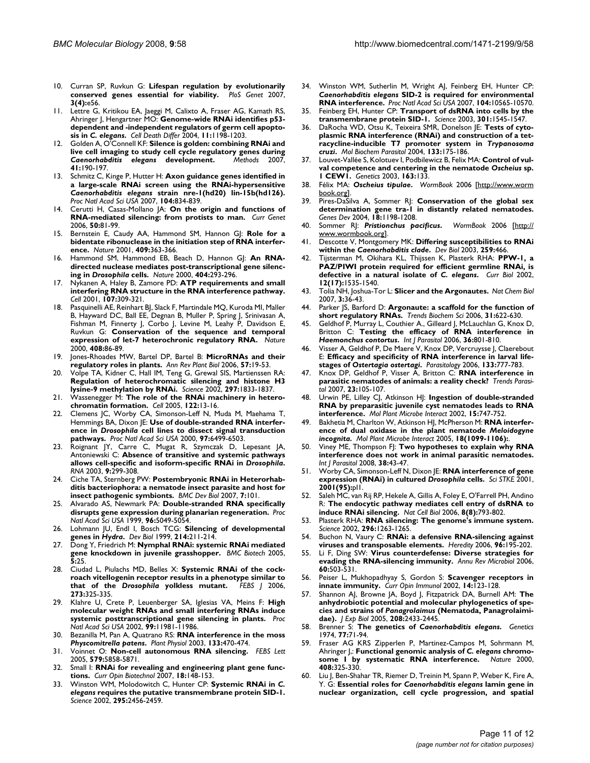- 10. Curran SP, Ruvkun G: **Lifespan regulation by evolutionarily** conserved genes essential for viability. **3(4):**e56.
- 11. Lettre G, Kritikou EA, Jaeggi M, Calixto A, Fraser AG, Kamath RS, Ahringer J, Hengartner MO: **Genome-wide RNAi identifies p53 dependent and -independent regulators of germ cell apoptosis in** *C. elegans***[.](http://www.ncbi.nlm.nih.gov/entrez/query.fcgi?cmd=Retrieve&db=PubMed&dopt=Abstract&list_uids=15272318)** *Cell Death Differ* 2004, **11:**1198-1203.
- <span id="page-10-0"></span>12. Golden A, O'Connell KF: **Silence is golden: combining RNAi and live cell imaging to study cell cycle regulatory genes during** *Caenorhabditis elegans* **[development.](http://www.ncbi.nlm.nih.gov/entrez/query.fcgi?cmd=Retrieve&db=PubMed&dopt=Abstract&list_uids=17189861)** *Methods* 2007, **41:**190-197.
- 13. Schmitz C, Kinge P, Hutter H: **Axon guidance genes identified in a large-scale RNAi screen using the RNAi-hypersensitive** *Caenorhabditis elegans* **[strain nre-1\(hd20\) lin-15b\(hd126\).](http://www.ncbi.nlm.nih.gov/entrez/query.fcgi?cmd=Retrieve&db=PubMed&dopt=Abstract&list_uids=17213328)** *Proc Natl Acad Sci USA* 2007, **104:**834-839.
- 14. Cerutti H, Casas-Mollano JA: **[On the origin and functions of](http://www.ncbi.nlm.nih.gov/entrez/query.fcgi?cmd=Retrieve&db=PubMed&dopt=Abstract&list_uids=16691418) [RNA-mediated silencing: from protists to man.](http://www.ncbi.nlm.nih.gov/entrez/query.fcgi?cmd=Retrieve&db=PubMed&dopt=Abstract&list_uids=16691418)** *Curr Genet* 2006, **50:**81-99.
- 15. Bernstein E, Caudy AA, Hammond SM, Hannon GJ: **[Role for a](http://www.ncbi.nlm.nih.gov/entrez/query.fcgi?cmd=Retrieve&db=PubMed&dopt=Abstract&list_uids=11201747) [bidentate ribonuclease in the initiation step of RNA interfer](http://www.ncbi.nlm.nih.gov/entrez/query.fcgi?cmd=Retrieve&db=PubMed&dopt=Abstract&list_uids=11201747)[ence.](http://www.ncbi.nlm.nih.gov/entrez/query.fcgi?cmd=Retrieve&db=PubMed&dopt=Abstract&list_uids=11201747)** *Nature* 2001, **409:**363-366.
- <span id="page-10-1"></span>16. Hammond SM, Hammond EB, Beach D, Hannon GJ: An RNA**directed nuclease mediates post-transcriptional gene silencing in** *Drosophila* **[cells.](http://www.ncbi.nlm.nih.gov/entrez/query.fcgi?cmd=Retrieve&db=PubMed&dopt=Abstract&list_uids=10749213)** *Nature* 2000, **404:**293-296.
- 17. Nykanen A, Haley B, Zamore PD: **[ATP requirements and small](http://www.ncbi.nlm.nih.gov/entrez/query.fcgi?cmd=Retrieve&db=PubMed&dopt=Abstract&list_uids=11701122) [interfering RNA structure in the RNA interference pathway.](http://www.ncbi.nlm.nih.gov/entrez/query.fcgi?cmd=Retrieve&db=PubMed&dopt=Abstract&list_uids=11701122)** *Cell* 2001, **107:**309-321.
- 18. Pasquinelli AE, Reinhart BJ, Slack F, Martindale MQ, Kuroda MI, Maller B, Hayward DC, Ball EE, Degnan B, Muller P, Spring J, Srinivasan A, Fishman M, Finnerty J, Corbo J, Levine M, Leahy P, Davidson E, Ruvkun G: **[Conservation of the sequence and temporal](http://www.ncbi.nlm.nih.gov/entrez/query.fcgi?cmd=Retrieve&db=PubMed&dopt=Abstract&list_uids=11081512) [expression of let-7 heterochronic regulatory RNA.](http://www.ncbi.nlm.nih.gov/entrez/query.fcgi?cmd=Retrieve&db=PubMed&dopt=Abstract&list_uids=11081512)** *Nature* 2000, **408:**86-89.
- 19. Jones-Rhoades MW, Bartel DP, Bartel B: **MicroRNAs and their regulatory roles in plants.** *Ann Rev Plant Biol* 2006, **57:**19-53.
- 20. Volpe TA, Kidner C, Hall IM, Teng G, Grewal SIS, Martienssen RA: **[Regulation of heterochromatic silencing and histone H3](http://www.ncbi.nlm.nih.gov/entrez/query.fcgi?cmd=Retrieve&db=PubMed&dopt=Abstract&list_uids=12193640) [lysine-9 methylation by RNAi.](http://www.ncbi.nlm.nih.gov/entrez/query.fcgi?cmd=Retrieve&db=PubMed&dopt=Abstract&list_uids=12193640)** *Science* 2002, **297:**1833-1837.
- 21. Wassenegger M: **[The role of the RNAi machinery in hetero](http://www.ncbi.nlm.nih.gov/entrez/query.fcgi?cmd=Retrieve&db=PubMed&dopt=Abstract&list_uids=16009128)[chromatin formation.](http://www.ncbi.nlm.nih.gov/entrez/query.fcgi?cmd=Retrieve&db=PubMed&dopt=Abstract&list_uids=16009128)** *Cell* 2005, **122:**13-16.
- 22. Clemens JC, Worby CA, Simonson-Leff N, Muda M, Maehama T, Hemmings BA, Dixon JE: **Use of double-stranded RNA interference in** *Drosophila* **[cell lines to dissect signal transduction](http://www.ncbi.nlm.nih.gov/entrez/query.fcgi?cmd=Retrieve&db=PubMed&dopt=Abstract&list_uids=10823906) [pathways.](http://www.ncbi.nlm.nih.gov/entrez/query.fcgi?cmd=Retrieve&db=PubMed&dopt=Abstract&list_uids=10823906)** *Proc Natl Acad Sci USA* 2000, **97:**6499-6503.
- 23. Roignant JY, Carre C, Mugat R, Szymczak D, Lepesant JA, Antoniewski C: **Absence of transitive and systemic pathways allows cell-specific and isoform-specific RNAi in** *Drosophila***[.](http://www.ncbi.nlm.nih.gov/entrez/query.fcgi?cmd=Retrieve&db=PubMed&dopt=Abstract&list_uids=12592004)** *RNA* 2003, **9:**299-308.
- 24. Ciche TA, Sternberg PW: **Postembryonic RNAi in Heterorhabditis bacteriophora: a nematode insect parasite and host for insect pathogenic symbionts.** *BMC Dev Biol* 2007, **7:**101.
- 25. Alvarado AS, Newmark PA: **[Double-stranded RNA specifically](http://www.ncbi.nlm.nih.gov/entrez/query.fcgi?cmd=Retrieve&db=PubMed&dopt=Abstract&list_uids=10220416) [disrupts gene expression during planarian regeneration.](http://www.ncbi.nlm.nih.gov/entrez/query.fcgi?cmd=Retrieve&db=PubMed&dopt=Abstract&list_uids=10220416)** *Proc Natl Acad Sci USA* 1999, **96:**5049-5054.
- 26. Lohmann JU, Endl I, Bosch TCG: **Silencing of developmental genes in** *Hydra***[.](http://www.ncbi.nlm.nih.gov/entrez/query.fcgi?cmd=Retrieve&db=PubMed&dopt=Abstract&list_uids=10491269)** *Dev Biol* 1999, **214:**211-214.
- 27. Dong Y, Friedrich M: **[Nymphal RNAi: systemic RNAi mediated](http://www.ncbi.nlm.nih.gov/entrez/query.fcgi?cmd=Retrieve&db=PubMed&dopt=Abstract&list_uids=16202143) [gene knockdown in juvenile grasshopper.](http://www.ncbi.nlm.nih.gov/entrez/query.fcgi?cmd=Retrieve&db=PubMed&dopt=Abstract&list_uids=16202143)** *BMC Biotech* 2005, **5:**25.
- <span id="page-10-2"></span>28. Ciudad L, Piulachs MD, Belles X: **Systemic RNAi of the cockroach vitellogenin receptor results in a phenotype similar to that of the** *Drosophila* **[yolkless mutant.](http://www.ncbi.nlm.nih.gov/entrez/query.fcgi?cmd=Retrieve&db=PubMed&dopt=Abstract&list_uids=16403020)** *FEBS J* 2006, **273:**325-335.
- 29. Klahre U, Crete P, Leuenberger SA, Iglesias VA, Meins F: **[High](http://www.ncbi.nlm.nih.gov/entrez/query.fcgi?cmd=Retrieve&db=PubMed&dopt=Abstract&list_uids=12181491) [molecular weight RNAs and small interfering RNAs induce](http://www.ncbi.nlm.nih.gov/entrez/query.fcgi?cmd=Retrieve&db=PubMed&dopt=Abstract&list_uids=12181491) [systemic posttranscriptional gene silencing in plants.](http://www.ncbi.nlm.nih.gov/entrez/query.fcgi?cmd=Retrieve&db=PubMed&dopt=Abstract&list_uids=12181491)** *Proc Natl Acad Sci USA* 2002, **99:**11981-11986.
- 30. Bezanilla M, Pan A, Quatrano RS: **RNA interference in the moss** *Physcomitrella patens***[.](http://www.ncbi.nlm.nih.gov/entrez/query.fcgi?cmd=Retrieve&db=PubMed&dopt=Abstract&list_uids=14555775)** *Plant Physiol* 2003, **133:**470-474.
- 31. Voinnet O: **[Non-cell autonomous RNA silencing.](http://www.ncbi.nlm.nih.gov/entrez/query.fcgi?cmd=Retrieve&db=PubMed&dopt=Abstract&list_uids=16242131)** *FEBS Lett* 2005, **579:**5858-5871.
- 32. Small I: **[RNAi for revealing and engineering plant gene func](http://www.ncbi.nlm.nih.gov/entrez/query.fcgi?cmd=Retrieve&db=PubMed&dopt=Abstract&list_uids=17287115)[tions.](http://www.ncbi.nlm.nih.gov/entrez/query.fcgi?cmd=Retrieve&db=PubMed&dopt=Abstract&list_uids=17287115)** *Curr Opin Biotechnol* 2007, **18:**148-153.
- <span id="page-10-3"></span>33. Winston WM, Molodowitch C, Hunter CP: **Systemic RNAi in** *C. elegans* **[requires the putative transmembrane protein SID-1.](http://www.ncbi.nlm.nih.gov/entrez/query.fcgi?cmd=Retrieve&db=PubMed&dopt=Abstract&list_uids=11834782)** *Science* 2002, **295:**2456-2459.
- 34. Winston WM, Sutherlin M, Wright AJ, Feinberg EH, Hunter CP: *Caenorhabditis elegans* **[SID-2 is required for environmental](http://www.ncbi.nlm.nih.gov/entrez/query.fcgi?cmd=Retrieve&db=PubMed&dopt=Abstract&list_uids=17563372) [RNA interference.](http://www.ncbi.nlm.nih.gov/entrez/query.fcgi?cmd=Retrieve&db=PubMed&dopt=Abstract&list_uids=17563372)** *Proc Natl Acad Sci USA* 2007, **104:**10565-10570.
- 35. Feinberg EH, Hunter CP: **[Transport of dsRNA into cells by the](http://www.ncbi.nlm.nih.gov/entrez/query.fcgi?cmd=Retrieve&db=PubMed&dopt=Abstract&list_uids=12970568) [transmembrane protein SID-1.](http://www.ncbi.nlm.nih.gov/entrez/query.fcgi?cmd=Retrieve&db=PubMed&dopt=Abstract&list_uids=12970568)** *Science* 2003, **301:**1545-1547.
- 36. DaRocha WD, Otsu K, Teixeira SMR, Donelson JE: **Tests of cytoplasmic RNA interference (RNAi) and construction of a tetracycline-inducible T7 promoter system in** *Trypanosoma cruzi***[.](http://www.ncbi.nlm.nih.gov/entrez/query.fcgi?cmd=Retrieve&db=PubMed&dopt=Abstract&list_uids=14698430)** *Mol Biochem Parasitol* 2004, **133:**175-186.
- 37. Louvet-Vallée S, Kolotuev I, Podbilewicz B, Felix MA: **Control of vulval competence and centering in the nematode** *Oscheius* **[sp.](http://www.ncbi.nlm.nih.gov/entrez/query.fcgi?cmd=Retrieve&db=PubMed&dopt=Abstract&list_uids=12586702) [1 CEW1.](http://www.ncbi.nlm.nih.gov/entrez/query.fcgi?cmd=Retrieve&db=PubMed&dopt=Abstract&list_uids=12586702)** *Genetics* 2003, **163:**133.
- 38. Félix MA: *Oscheius tipulae***.** *WormBook* 2006 [\[http://www.worm](http://www.wormbook.org) [book.org](http://www.wormbook.org)].
- 39. Pires-DaSilva A, Sommer RJ: **[Conservation of the global sex](http://www.ncbi.nlm.nih.gov/entrez/query.fcgi?cmd=Retrieve&db=PubMed&dopt=Abstract&list_uids=15155582) [determination gene tra-1 in distantly related nematodes.](http://www.ncbi.nlm.nih.gov/entrez/query.fcgi?cmd=Retrieve&db=PubMed&dopt=Abstract&list_uids=15155582)** *Genes Dev* 2004, **18:**1198-1208.
- 40. Sommer RJ: *Pristionchus pacificus***[.](http://www.ncbi.nlm.nih.gov/entrez/query.fcgi?cmd=Retrieve&db=PubMed&dopt=Abstract&list_uids=18050490)** *WormBook* 2006 [\[http://](http://www.wormbook.org) [www.wormbook.org](http://www.wormbook.org)].
- 41. Descotte V, Montgomery MK: **Differing susceptibilities to RNAi within the** *Caenorhabditis clade***.** *Dev Biol* 2003, **259:**466.
- 42. Tijsterman M, Okihara KL, Thijssen K, Plasterk RHA: **PPW-1, a PAZ/PIWI protein required for efficient germline RNAi, is defective in a natural isolate of** *C. elegans***[.](http://www.ncbi.nlm.nih.gov/entrez/query.fcgi?cmd=Retrieve&db=PubMed&dopt=Abstract&list_uids=12225671)** *Curr Biol* 2002, **12(17):**1535-1540.
- 43. Tolia NH, Joshua-Tor L: **[Slicer and the Argonautes.](http://www.ncbi.nlm.nih.gov/entrez/query.fcgi?cmd=Retrieve&db=PubMed&dopt=Abstract&list_uids=17173028)** *Nat Chem Biol* 2007, **3:**36-43.
- 44. Parker JS, Barford D: **[Argonaute: a scaffold for the function of](http://www.ncbi.nlm.nih.gov/entrez/query.fcgi?cmd=Retrieve&db=PubMed&dopt=Abstract&list_uids=17029813) [short regulatory RNAs.](http://www.ncbi.nlm.nih.gov/entrez/query.fcgi?cmd=Retrieve&db=PubMed&dopt=Abstract&list_uids=17029813)** *Trends Biochem Sci* 2006, **31:**622-630.
- 45. Geldhof P, Murray L, Couthier A., Gilleard J, McLauchlan G, Knox D, Britton C: **Testing the efficacy of RNA interference in** *Haemonchus contortus***[.](http://www.ncbi.nlm.nih.gov/entrez/query.fcgi?cmd=Retrieve&db=PubMed&dopt=Abstract&list_uids=16469321)** *Int J Parasitol* 2006, **36:**801-810.
- 46. Visser A, Geldhof P, De Maere V, Knox DP, Vercruysse J, Claerebout E: **Efficacy and specificity of RNA interference in larval lifestages of** *Ostertagia ostertagi***[.](http://www.ncbi.nlm.nih.gov/entrez/query.fcgi?cmd=Retrieve&db=PubMed&dopt=Abstract&list_uids=16879764)** *Parasitology* 2006, **133:**777-783.
- 47. Knox DP, Geldhof P, Visser A, Britton C: **[RNA interference in](http://www.ncbi.nlm.nih.gov/entrez/query.fcgi?cmd=Retrieve&db=PubMed&dopt=Abstract&list_uids=17276139) [parasitic nematodes of animals: a reality check?](http://www.ncbi.nlm.nih.gov/entrez/query.fcgi?cmd=Retrieve&db=PubMed&dopt=Abstract&list_uids=17276139)** *Trends Parasitol* 2007, **23:**105-107.
- 48. Urwin PE, Lilley CJ, Atkinson HJ: **[Ingestion of double-stranded](http://www.ncbi.nlm.nih.gov/entrez/query.fcgi?cmd=Retrieve&db=PubMed&dopt=Abstract&list_uids=12182331) [RNA by preparasitic juvenile cyst nematodes leads to RNA](http://www.ncbi.nlm.nih.gov/entrez/query.fcgi?cmd=Retrieve&db=PubMed&dopt=Abstract&list_uids=12182331) [interference.](http://www.ncbi.nlm.nih.gov/entrez/query.fcgi?cmd=Retrieve&db=PubMed&dopt=Abstract&list_uids=12182331)** *Mol Plant Microbe Interact* 2002, **15:**747-752.
- 49. Bakhetia M, Charlton W, Atkinson HJ, McPherson M: **RNA interference of dual oxidase in the plant nematode** *Meloidogyne incognita. Mol Plant Microbe Interact* 2005, **18(1099-1106):**.
- 50. Viney ME, Thompson F|: [Two hypotheses to explain why RNA](http://www.ncbi.nlm.nih.gov/entrez/query.fcgi?cmd=Retrieve&db=PubMed&dopt=Abstract&list_uids=18028931) **[interference does not work in animal parasitic nematodes.](http://www.ncbi.nlm.nih.gov/entrez/query.fcgi?cmd=Retrieve&db=PubMed&dopt=Abstract&list_uids=18028931)** *Int J Parasitol* 2008, **38:**43-47.
- <span id="page-10-4"></span>51. Worby CA, Simonson-Leff N, Dixon JE: **RNA interference of gene expression (RNAi) in cultured** *Drosophila* **[cells.](http://www.ncbi.nlm.nih.gov/entrez/query.fcgi?cmd=Retrieve&db=PubMed&dopt=Abstract&list_uids=11752672)** *Sci STKE* 2001, **2001(95):**pl1.
- 52. Saleh MC, van Rij RP, Hekele A, Gillis A, Foley E, O'Farrell PH, Andino R: **[The endocytic pathway mediates cell entry of dsRNA to](http://www.ncbi.nlm.nih.gov/entrez/query.fcgi?cmd=Retrieve&db=PubMed&dopt=Abstract&list_uids=16862146) [induce RNAi silencing.](http://www.ncbi.nlm.nih.gov/entrez/query.fcgi?cmd=Retrieve&db=PubMed&dopt=Abstract&list_uids=16862146)** *Nat Cell Biol* 2006, **8(8):**793-802.
- 53. Plasterk RHA: **[RNA silencing: The genome's immune system.](http://www.ncbi.nlm.nih.gov/entrez/query.fcgi?cmd=Retrieve&db=PubMed&dopt=Abstract&list_uids=12016302)** *Science* 2002, **296:**1263-1265.
- 54. Buchon N, Vaury C: **[RNAi: a defensive RNA-silencing against](http://www.ncbi.nlm.nih.gov/entrez/query.fcgi?cmd=Retrieve&db=PubMed&dopt=Abstract&list_uids=16369574) [viruses and transposable elements.](http://www.ncbi.nlm.nih.gov/entrez/query.fcgi?cmd=Retrieve&db=PubMed&dopt=Abstract&list_uids=16369574)** *Heredity* 2006, **96:**195-202.
- 55. Li F, Ding SW: **[Virus counterdefense: Diverse strategies for](http://www.ncbi.nlm.nih.gov/entrez/query.fcgi?cmd=Retrieve&db=PubMed&dopt=Abstract&list_uids=16768647) [evading the RNA-silencing immunity.](http://www.ncbi.nlm.nih.gov/entrez/query.fcgi?cmd=Retrieve&db=PubMed&dopt=Abstract&list_uids=16768647)** *Annu Rev Microbiol* 2006, **60:**503-531.
- 56. Peiser L, Mukhopadhyay S, Gordon S: **[Scavenger receptors in](http://www.ncbi.nlm.nih.gov/entrez/query.fcgi?cmd=Retrieve&db=PubMed&dopt=Abstract&list_uids=11790542) [innate immunity.](http://www.ncbi.nlm.nih.gov/entrez/query.fcgi?cmd=Retrieve&db=PubMed&dopt=Abstract&list_uids=11790542)** *Curr Opin Immunol* 2002, **14:**123-128.
- <span id="page-10-5"></span>57. Shannon AJ, Browne JA, Boyd J, Fitzpatrick DA, Burnell AM: **The anhydrobiotic potential and molecular phylogenetics of species and strains of** *Panagrolaimus* **[\(Nematoda, Panagrolaimi](http://www.ncbi.nlm.nih.gov/entrez/query.fcgi?cmd=Retrieve&db=PubMed&dopt=Abstract&list_uids=15939782)[dae\).](http://www.ncbi.nlm.nih.gov/entrez/query.fcgi?cmd=Retrieve&db=PubMed&dopt=Abstract&list_uids=15939782)** *J Exp Biol* 2005, **208:**2433-2445.
- 58. Brenner S: **The genetics of** *Caenorhabditis elegans***[.](http://www.ncbi.nlm.nih.gov/entrez/query.fcgi?cmd=Retrieve&db=PubMed&dopt=Abstract&list_uids=4366476)** *Genetics* 1974, **77:**71-94.
- <span id="page-10-6"></span>59. Fraser AG KRS Zipperlen P, Martinez-Campos M, Sohrmann M, Ahringer J,: **Functional genomic analysis of** *C. elegans* **[chromo](http://www.ncbi.nlm.nih.gov/entrez/query.fcgi?cmd=Retrieve&db=PubMed&dopt=Abstract&list_uids=11099033)[some I by systematic RNA interference.](http://www.ncbi.nlm.nih.gov/entrez/query.fcgi?cmd=Retrieve&db=PubMed&dopt=Abstract&list_uids=11099033)** *Nature* 2000, **408:**325-330.
- 60. Liu J, Ben-Shahar TR, Riemer D, Treinin M, Spann P, Weber K, Fire A, Y. G: **Essential roles for** *Caenorhabditis elegans* **[lamin gene in](http://www.ncbi.nlm.nih.gov/entrez/query.fcgi?cmd=Retrieve&db=PubMed&dopt=Abstract&list_uids=11071918) [nuclear organization, cell cycle progression, and spatial](http://www.ncbi.nlm.nih.gov/entrez/query.fcgi?cmd=Retrieve&db=PubMed&dopt=Abstract&list_uids=11071918)**